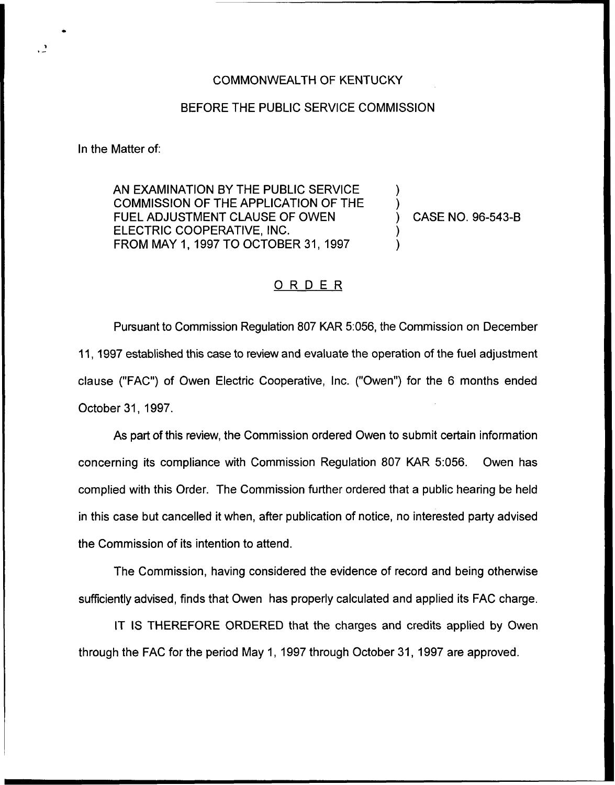## COMMONWEALTH OF KENTUCKY

## BEFORE THE PUBLIC SERVICE COMMISSION

In the Matter of:

AN EXAMINATION BY THE PUBLIC SERVICE COMMISSION OF THE APPLICATION OF THE FUEL ADJUSTMENT CLAUSE OF OWEN ELECTRIC COOPERATIVE, INC. FROM MAY 1, 1997TO OCTOBER 31, 1997

) CASE NO. 96-543-B

) )

) )

## ORDER

Pursuant to Commission Regulation 807 KAR 5:056, the Commission on December 11, 1997 established this case to review and evaluate the operation of the fuel adjustment clause ("FAC") of Owen Electric Cooperative, Inc. ("Owen") for the 6 months ende October 31, 1997.

As part of this review, the Commission ordered Owen to submit certain information concerning its compliance with Commission Regulation 807 KAR 5:056. Owen has complied with this Order. The Commission further ordered that a public hearing be held in this case but cancelled it when, after publication of notice, no interested party advised the Commission of its intention to attend.

The Commission, having considered the evidence of record and being otherwise sufficiently advised, finds that Owen has properly calculated and applied its FAC charge.

IT IS THEREFORE ORDERED that the charges and credits applied by Owen through the FAC for the period May 1, 1997 through October 31, 1997 are approved.